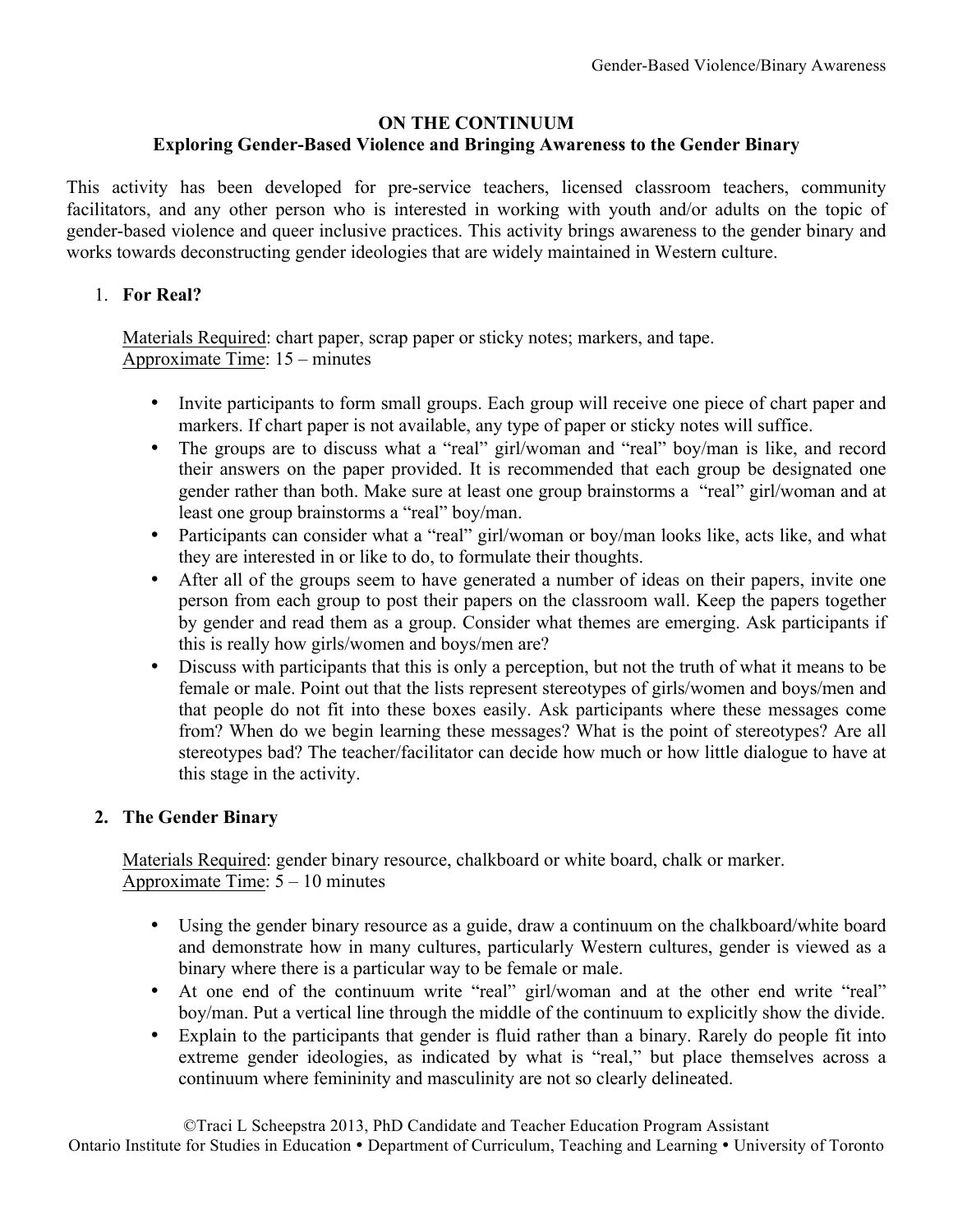### **ON THE CONTINUUM**

# **Exploring Gender-Based Violence and Bringing Awareness to the Gender Binary**

This activity has been developed for pre-service teachers, licensed classroom teachers, community facilitators, and any other person who is interested in working with youth and/or adults on the topic of gender-based violence and queer inclusive practices. This activity brings awareness to the gender binary and works towards deconstructing gender ideologies that are widely maintained in Western culture.

### 1. **For Real?**

Materials Required: chart paper, scrap paper or sticky notes; markers, and tape. Approximate Time: 15 – minutes

- Invite participants to form small groups. Each group will receive one piece of chart paper and markers. If chart paper is not available, any type of paper or sticky notes will suffice.
- The groups are to discuss what a "real" girl/woman and "real" boy/man is like, and record their answers on the paper provided. It is recommended that each group be designated one gender rather than both. Make sure at least one group brainstorms a "real" girl/woman and at least one group brainstorms a "real" boy/man.
- Participants can consider what a "real" girl/woman or boy/man looks like, acts like, and what they are interested in or like to do, to formulate their thoughts.
- After all of the groups seem to have generated a number of ideas on their papers, invite one person from each group to post their papers on the classroom wall. Keep the papers together by gender and read them as a group. Consider what themes are emerging. Ask participants if this is really how girls/women and boys/men are?
- Discuss with participants that this is only a perception, but not the truth of what it means to be female or male. Point out that the lists represent stereotypes of girls/women and boys/men and that people do not fit into these boxes easily. Ask participants where these messages come from? When do we begin learning these messages? What is the point of stereotypes? Are all stereotypes bad? The teacher/facilitator can decide how much or how little dialogue to have at this stage in the activity.

# **2. The Gender Binary**

Materials Required: gender binary resource, chalkboard or white board, chalk or marker. Approximate Time:  $5 - 10$  minutes

- Using the gender binary resource as a guide, draw a continuum on the chalkboard/white board and demonstrate how in many cultures, particularly Western cultures, gender is viewed as a binary where there is a particular way to be female or male.
- At one end of the continuum write "real" girl/woman and at the other end write "real" boy/man. Put a vertical line through the middle of the continuum to explicitly show the divide.
- Explain to the participants that gender is fluid rather than a binary. Rarely do people fit into extreme gender ideologies, as indicated by what is "real," but place themselves across a continuum where femininity and masculinity are not so clearly delineated.

©Traci L Scheepstra 2013, PhD Candidate and Teacher Education Program Assistant Ontario Institute for Studies in Education • Department of Curriculum, Teaching and Learning • University of Toronto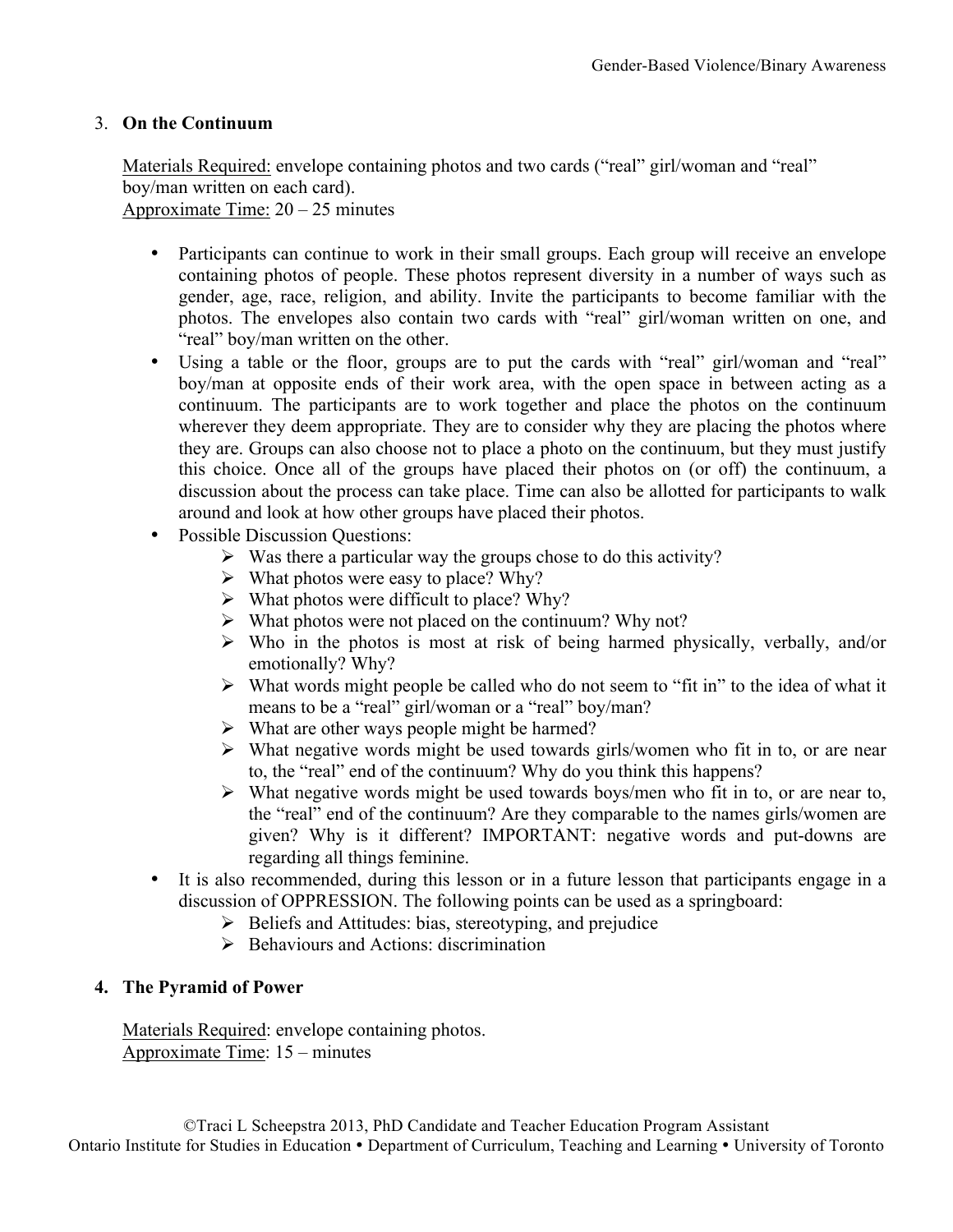### 3. **On the Continuum**

Materials Required: envelope containing photos and two cards ("real" girl/woman and "real" boy/man written on each card).

Approximate Time:  $20 - 25$  minutes

- Participants can continue to work in their small groups. Each group will receive an envelope containing photos of people. These photos represent diversity in a number of ways such as gender, age, race, religion, and ability. Invite the participants to become familiar with the photos. The envelopes also contain two cards with "real" girl/woman written on one, and "real" boy/man written on the other.
- Using a table or the floor, groups are to put the cards with "real" girl/woman and "real" boy/man at opposite ends of their work area, with the open space in between acting as a continuum. The participants are to work together and place the photos on the continuum wherever they deem appropriate. They are to consider why they are placing the photos where they are. Groups can also choose not to place a photo on the continuum, but they must justify this choice. Once all of the groups have placed their photos on (or off) the continuum, a discussion about the process can take place. Time can also be allotted for participants to walk around and look at how other groups have placed their photos.
- Possible Discussion Questions:
	- $\triangleright$  Was there a particular way the groups chose to do this activity?
	- $\triangleright$  What photos were easy to place? Why?
	- $\triangleright$  What photos were difficult to place? Why?
	- $\triangleright$  What photos were not placed on the continuum? Why not?
	- $\triangleright$  Who in the photos is most at risk of being harmed physically, verbally, and/or emotionally? Why?
	- $\triangleright$  What words might people be called who do not seem to "fit in" to the idea of what it means to be a "real" girl/woman or a "real" boy/man?
	- $\triangleright$  What are other ways people might be harmed?
	- $\triangleright$  What negative words might be used towards girls/women who fit in to, or are near to, the "real" end of the continuum? Why do you think this happens?
	- $\triangleright$  What negative words might be used towards boys/men who fit in to, or are near to, the "real" end of the continuum? Are they comparable to the names girls/women are given? Why is it different? IMPORTANT: negative words and put-downs are regarding all things feminine.
- It is also recommended, during this lesson or in a future lesson that participants engage in a discussion of OPPRESSION. The following points can be used as a springboard:
	- $\triangleright$  Beliefs and Attitudes: bias, stereotyping, and prejudice
	- $\triangleright$  Behaviours and Actions: discrimination

#### **4. The Pyramid of Power**

Materials Required: envelope containing photos. Approximate Time: 15 – minutes